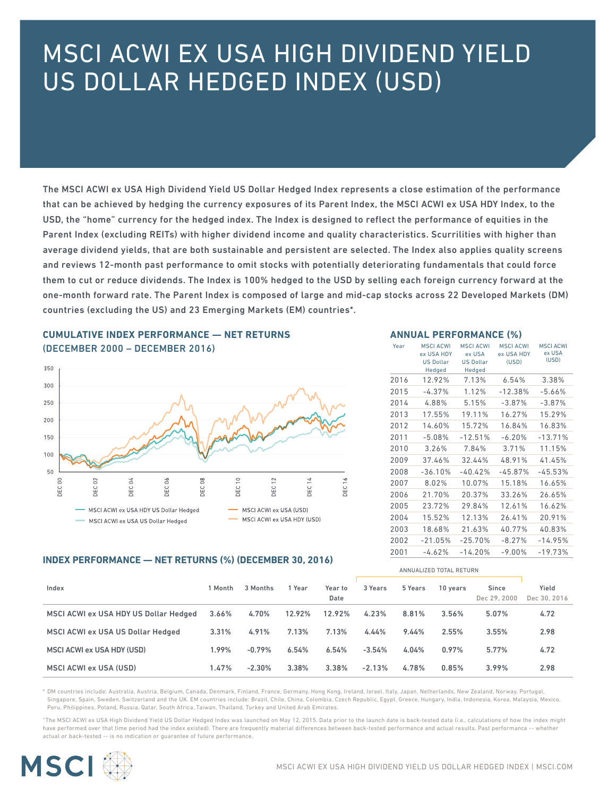# MSCI ACWI EX USA HIGH DIVIDEND YIELD US DOLLAR HEDGED INDEX (USD)

The MSCI ACWI ex USA High Dividend Yield US Dollar Hedged Index represents a close estimation of the performance that can be achieved by hedging the currency exposures of its Parent Index, the MSCI ACWI ex USA HDY Index, to the USD, the "home" currency for the hedged index. The Index is designed to reflect the performance of equities in the Parent Index (excluding REITs) with higher dividend income and quality characteristics. Scurrilities with higher than average dividend yields, that are both sustainable and persistent are selected. The Index also applies quality screens and reviews 12-month past performance to omit stocks with potentially deteriorating fundamentals that could force them to cut or reduce dividends. The Index is 100% hedged to the USD by selling each foreign currency forward at the one-month forward rate. The Parent Index is composed of large and mid-cap stocks across 22 Developed Markets (DM) countries (excluding the US) and 23 Emerging Markets (EM) countries\*.

# **CUMULATIVE INDEX PERFORMANCE — NET RETURNS**  (DECEMBER 2000 – DECEMBER 2016)



#### **ANNUAL PERFORMANCE (%)**

| Year | <b>MSCI ACWI</b><br>ex USA HDY<br><b>US Dollar</b><br>Hedged | <b>MSCI ACWI</b><br>ex USA<br><b>US Dollar</b><br>Hedged | <b>MSCI ACWI</b><br>ex USA HDY<br>(USD) | <b>MSCI ACWI</b><br>ex USA<br>(USD) |
|------|--------------------------------------------------------------|----------------------------------------------------------|-----------------------------------------|-------------------------------------|
| 2016 | 12.92%                                                       | 7.13%                                                    | 6.54%                                   | 3.38%                               |
| 2015 | $-4.37%$                                                     | 1.12%                                                    | $-12.38%$                               | $-5.66%$                            |
| 2014 | 4.88%                                                        | 5.15%                                                    | $-3.87%$                                | $-3.87%$                            |
| 2013 | 17.55%                                                       | 19.11%                                                   | 16.27%                                  | 15.29%                              |
| 2012 | 14.60%                                                       | 15.72%                                                   | 16.84%                                  | 16.83%                              |
| 2011 | $-5.08%$                                                     | $-12.51%$                                                | $-6.20%$                                | $-13.71%$                           |
| 2010 | 3.26%                                                        | 7.84%                                                    | 3.71%                                   | 11.15%                              |
| 2009 | 37.46%                                                       | 32.44%                                                   | 48.91%                                  | 41.45%                              |
| 2008 | $-36.10%$                                                    | $-40.42%$                                                | $-45.87%$                               | $-45.53%$                           |
| 2007 | 8.02%                                                        | 10.07%                                                   | 15.18%                                  | 16.65%                              |
| 2006 | 21.70%                                                       | 20.37%                                                   | 33.26%                                  | 26.65%                              |
| 2005 | 23.72%                                                       | 29.84%                                                   | 12.61%                                  | 16.62%                              |
| 2004 | 15.52%                                                       | 12.13%                                                   | 26.41%                                  | 20.91%                              |
| 2003 | 18.68%                                                       | 21.63%                                                   | 40.77%                                  | 40.83%                              |
| 2002 | $-21.05%$                                                    | $-25.70%$                                                | $-8.27%$                                | $-14.95%$                           |
| 2001 | $-4.62%$                                                     | $-14.20%$                                                | $-9.00\%$                               | $-19.73%$                           |

#### **INDEX PERFORMANCE — NET RETURNS (%) (DECEMBER 30, 2016)**

|                                       |       |          |        |                 |          |         | ANNUALIZED TOTAL RETURN |                       |                       |
|---------------------------------------|-------|----------|--------|-----------------|----------|---------|-------------------------|-----------------------|-----------------------|
| Index                                 | Month | 3 Months | 1 Year | Year to<br>Date | 3 Years  | 5 Years | 10 years                | Since<br>Dec 29, 2000 | Yield<br>Dec 30, 2016 |
| MSCI ACWI ex USA HDY US Dollar Hedged | 3.66% | 4.70%    | 12.92% | 12.92%          | 4.23%    | 8.81%   | 3.56%                   | 5.07%                 | 4.72                  |
| MSCI ACWI ex USA US Dollar Hedged     | 3.31% | 4.91%    | 7.13%  | 7.13%           | 4.44%    | 9.44%   | 2.55%                   | 3.55%                 | 2.98                  |
| MSCI ACWI ex USA HDY (USD)            | 1.99% | $-0.79%$ | 6.54%  | 6.54%           | $-3.54%$ | 4.04%   | $0.97\%$                | 5.77%                 | 4.72                  |
| MSCI ACWI ex USA (USD)                | 1.47% | $-2.30%$ | 3.38%  | 3.38%           | $-2.13%$ | 4.78%   | 0.85%                   | 3.99%                 | 2.98                  |

\* DM countries include: Australia, Austria, Belgium, Canada, Denmark, Finland, France, Germany, Hong Kong, Ireland, Israel, Italy, Japan, Netherlands, New Zealand, Norway, Portugal, Singapore, Spain, Sweden, Switzerland and the UK. EM countries include: Brazil, Chile, China, Colombia, Czech Republic, Egypt, Greece, Hungary, India, Indonesia, Korea, Malaysia, Mexico, Peru, Philippines, Poland, Russia, Qatar, South Africa, Taiwan, Thailand, Turkey and United Arab Emirates.

"The MSCI ACWI ex USA High Dividend Yield US Dollar Hedged Index was launched on May 12, 2015. Data prior to the launch date is back-tested data (i.e., calculations of how the index might have performed over that time period had the index existed). There are frequently material differences between back-tested performance and actual results. Past performance -- whether actual or back-tested -- is no indication or guarantee of future performance.